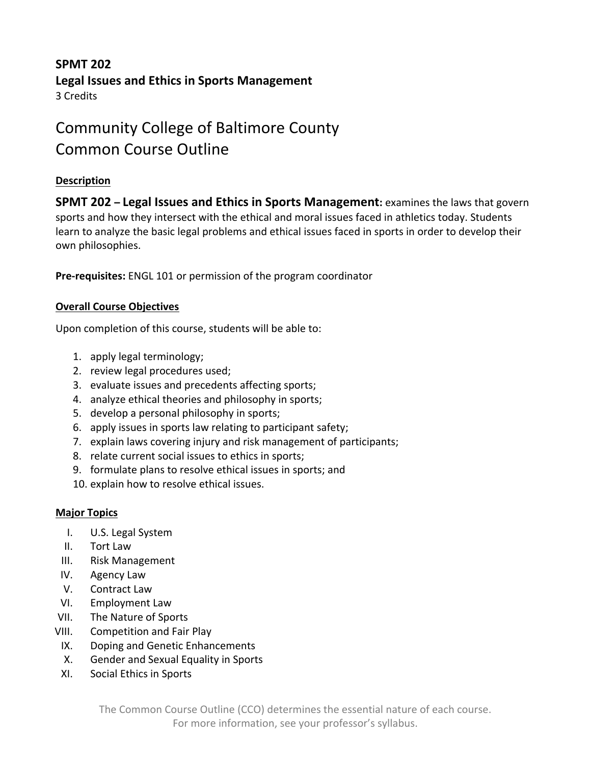# **SPMT 202 Legal Issues and Ethics in Sports Management** 3 Credits

# Community College of Baltimore County Common Course Outline

# **Description**

**SPMT 202 – Legal Issues and Ethics in Sports Management:** examines the laws that govern sports and how they intersect with the ethical and moral issues faced in athletics today. Students learn to analyze the basic legal problems and ethical issues faced in sports in order to develop their own philosophies.

**Pre-requisites:** ENGL 101 or permission of the program coordinator

# **Overall Course Objectives**

Upon completion of this course, students will be able to:

- 1. apply legal terminology;
- 2. review legal procedures used;
- 3. evaluate issues and precedents affecting sports;
- 4. analyze ethical theories and philosophy in sports;
- 5. develop a personal philosophy in sports;
- 6. apply issues in sports law relating to participant safety;
- 7. explain laws covering injury and risk management of participants;
- 8. relate current social issues to ethics in sports;
- 9. formulate plans to resolve ethical issues in sports; and
- 10. explain how to resolve ethical issues.

### **Major Topics**

- I. U.S. Legal System
- II. Tort Law
- III. Risk Management
- IV. Agency Law
- V. Contract Law
- VI. Employment Law
- VII. The Nature of Sports
- VIII. Competition and Fair Play
- IX. Doping and Genetic Enhancements
- X. Gender and Sexual Equality in Sports
- XI. Social Ethics in Sports

The Common Course Outline (CCO) determines the essential nature of each course. For more information, see your professor's syllabus.